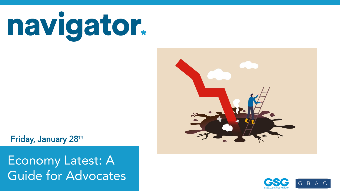

### Friday, January 28th

 $\mathbf{A}$  registered voters; Each wave represents approximately 1,000 interviews taken over the prior three-five days. Latest wave conducted January 20-January 24, 2022. For more info, visit navigatorresearch.org Economy Latest: A Guide for Advocates



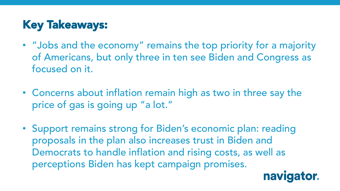## Key Takeaways:

- "Jobs and the economy" remains the top priority for a majority of Americans, but only three in ten see Biden and Congress as focused on it.
- Concerns about inflation remain high as two in three say the price of gas is going up "a lot."
- Support remains strong for Biden's economic plan: reading proposals in the plan also increases trust in Biden and Democrats to handle inflation and rising costs, as well as perceptions Biden has kept campaign promises.

![](_page_1_Picture_4.jpeg)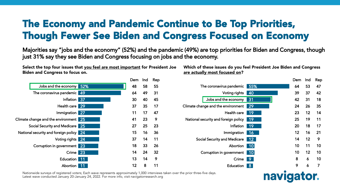## The Economy and Pandemic Continue to Be Top Priorities, Though Fewer See Biden and Congress Focused on Economy

Majorities say "jobs and the economy" (52%) and the pandemic (49%) are top priorities for Biden and Congress, though just 31% say they see Biden and Congress focusing on jobs and the economy.

Select the top four issues that you feel are most important for President Joe Biden and Congress to focus on.

|                                         |                    | Dem | Ind | Rep |
|-----------------------------------------|--------------------|-----|-----|-----|
| Jobs and the economy                    | 52%                | 48  | 58  | 55  |
| The coronavirus pandemic                | -49                | 64  | 49  | 31  |
| Inflation 37                            |                    | 30  | 40  | 45  |
| Health care                             | 29                 | 37  | 35  | 17  |
| Immigration 27                          |                    | 11  | 17  | 47  |
| Climate change and the environment      | 25                 | 41  | 23  | 9   |
| Social Security and Medicare 25         |                    | 27  | 25  | 23  |
| National security and foreign policy 24 |                    | 15  | 16  | 36  |
| Voting rights 24                        |                    | 37  | 14  | 11  |
| Corruption in government 23             |                    | 18  | 33  | 26  |
| Crime                                   | 23                 | 14  | 24  | 32  |
| <b>Education</b>                        | 11                 | 13  | 14  | 9   |
| Abortion                                | $\lceil 11 \rceil$ | 12  | 8   | 11  |

Which of these issues do you feel President Joe Biden and Congress are actually most focused on?

|                                      |                 | Dem | Ind | Rep |  |  |  |  |
|--------------------------------------|-----------------|-----|-----|-----|--|--|--|--|
| The coronavirus pandemic             | 55%             | 64  | 53  | 47  |  |  |  |  |
| Voting rights                        | 40              | 39  | 37  | 42  |  |  |  |  |
| Jobs and the economy                 | 31              | 42  | 31  | 18  |  |  |  |  |
| Climate change and the environment   | 29              | 24  | 26  | 35  |  |  |  |  |
| Health care                          | 19              | 23  | 12  | 14  |  |  |  |  |
| National security and foreign policy | -19             | 25  | 19  | 11  |  |  |  |  |
| Inflation                            | 19              | 20  | 18  | 17  |  |  |  |  |
| Immigration                          | <b>16</b>       | 12  | 16  | 21  |  |  |  |  |
| <b>Social Security and Medicare</b>  | 12 <sup>7</sup> | 14  | 12  | 9   |  |  |  |  |
| Abortion                             | 10 <sup>°</sup> | 10  | 11  | 10  |  |  |  |  |
| Corruption in government             | $ 10\rangle$    | 10  | 12  | 10  |  |  |  |  |
| Crime                                | 9               | 8   | 6   | 10  |  |  |  |  |
| <b>Education</b>                     | 8 <sup>°</sup>  | 9   | 6   | 7   |  |  |  |  |
| e prior three-five davs.             |                 |     |     |     |  |  |  |  |

**naviga**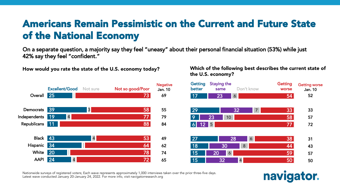## Americans Remain Pessimistic on the Current and Future State of the National Economy

On a separate question, a majority say they feel "uneasy" about their personal financial situation (53%) while just 42% say they feel "confident."

How would you rate the state of the U.S. economy today?

#### Which of the following best describes the current state of the U.S. economy?

![](_page_3_Figure_4.jpeg)

![](_page_3_Picture_6.jpeg)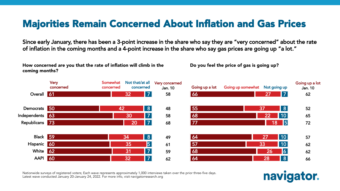## Majorities Remain Concerned About Inflation and Gas Prices

Since early January, there has been a 3-point increase in the share who say they are "very concerned" about the rate of inflation in the coming months and a 4-point increase in the share who say gas prices are going up "a lot."

How concerned are you that the rate of inflation will climb in the coming months?

Do you feel the price of gas is going up?

![](_page_4_Figure_4.jpeg)

![](_page_4_Picture_6.jpeg)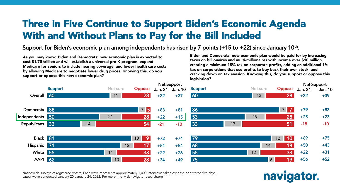## Three in Five Continue to Support Biden's Economic Agenda With and Without Plans to Pay for the Bill Included

#### Support for Biden's economic plan among independents has risen by 7 points (+15 to +22) since January 10<sup>th</sup>.

As you may know, Biden and Democrats' new economic plan is expected to cost \$1.75 trillion and will establish a universal pre-K program, expand Medicare for seniors to include hearing coverage, and lower health care costs by allowing Medicare to negotiate lower drug prices. Knowing this, do you support or oppose this new economic plan?

Biden and Democrats' new economic plan would be paid for by increasing taxes on billionaires and multi-millionaires with income over \$10 million, creating a minimum 15% tax on corporate profits, adding an additional 1% tax on corporations that use profits to buy back their own stock, and cracking down on tax evasion. Knowing this, do you support or oppose this legislation?

![](_page_5_Figure_4.jpeg)

![](_page_5_Picture_6.jpeg)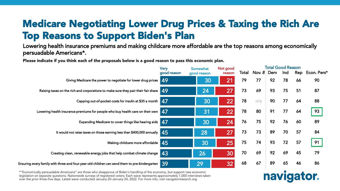## Medicare Negotiating Lower Drug Prices & Taxing the Rich Are Top Reasons to Support Biden's Plan

Lowering health insurance premiums and making childcare more affordable are the top reasons among economically persuadable Americans\*.

Please indicate if you think each of the proposals below is a good reason to pass this economic plan.

|                                                                                                                             | <b>Very</b><br>Somewhat |             | Not good        | <b>Total Good Reason</b> |              |    |     |     |             |  |
|-----------------------------------------------------------------------------------------------------------------------------|-------------------------|-------------|-----------------|--------------------------|--------------|----|-----|-----|-------------|--|
|                                                                                                                             | good reason             | good reason | reason          | Total                    | Nov. $8$ Dem |    | Ind | Rep | Econ. Pers* |  |
| Giving Medicare the power to negotiate for lower drug prices 49                                                             |                         | 30          | 21              | 79                       | 77           | 92 | 78  | 66  | 90          |  |
| Raising taxes on the rich and corporations to make sure they pair their fair share 49                                       |                         | 24          | 27              | 73                       | 69           | 93 | 75  | 51  | 87          |  |
| Capping out-of-pocket costs for insulin at \$35 a month 47                                                                  |                         | 30          | 22              | 78                       | n/a          | 90 | 77  | 64  | 88          |  |
| Lowering health insurance premiums for people who buy health care on their own $\begin{array}{ c c } \hline \end{array} 47$ |                         | 31          | $\overline{2}2$ | 78                       | 80           | 91 | 77  | 64  | 93          |  |
| Expanding Medicare to cover things like hearing aids 47                                                                     |                         | 30          | 24              | 76                       | 75           | 92 | 76  | 60  | 89          |  |
| It would not raise taxes on those earning less than \$400,000 annually 4.5                                                  |                         | 28          | 27              | 73                       | 73           | 89 | 70  | 57  | 84          |  |
| Making childcare more affordable 45                                                                                         |                         | 30          | 25              | 75                       | 74           | 93 | 72  | 57  | 91          |  |
| Creating clean, renewable energy jobs that help combat climate change 43                                                    |                         | 26          | 30              | 70                       | 69           | 92 | 69  | 45  | 79          |  |
| Ensuring every family with three-and four-year-old children can send them to pre-kindergarten $\,39\,$                      |                         | 29          | 32              | 68                       | 67           | 89 | 65  | 46  | 86          |  |

navigator.

\*"Economically persuadable Americans" are those who disapprove of Biden's handling of the economy, but support new economic legislation on separate questions. Nationwide surveys of registered voters; Each wave represents approximately 1,000 interviews taken over the prior three-five days. Latest wave conducted January 20-January 24, 2022. For more info, visit navigatorresearch.org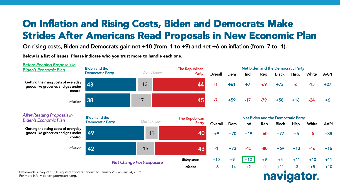## On Inflation and Rising Costs, Biden and Democrats Make Strides After Americans Read Proposals in New Economic Plan

On rising costs, Biden and Democrats gain net +10 (from -1 to +9) and net +6 on inflation (from -7 to -1).

Below is a list of issues. Please indicate who you trust more to handle each one.

| <b>Before Reading Proposals in</b><br><b>Biden's Economic Plan</b>                                                                | <b>Biden and the</b><br><b>Democratic Party</b> | Don't know | <b>The Republican</b><br>Party |         | <b>Net Biden and the Democratic Party</b>                               |       |       |              |               |       |             |
|-----------------------------------------------------------------------------------------------------------------------------------|-------------------------------------------------|------------|--------------------------------|---------|-------------------------------------------------------------------------|-------|-------|--------------|---------------|-------|-------------|
|                                                                                                                                   |                                                 |            |                                | Overall | Dem                                                                     | Ind   | Rep   | <b>Black</b> | Hisp.         | White | <b>AAPI</b> |
| Getting the rising costs of everyday<br>goods like groceries and gas under<br>control                                             | 43                                              | 13         | 44                             | $-1$    | $+61$                                                                   | $+7$  | $-69$ | $+73$        | $-6$          | $-15$ | $+27$       |
| Inflation                                                                                                                         | 38                                              | 17         | 45                             | $-7$    | $+59$                                                                   | $-17$ | $-79$ | $+58$        | $+16$         | $-24$ | $+6$        |
| <b>After Reading Proposals in</b><br><b>Biden's Economic Plan</b>                                                                 | <b>Biden and the</b><br><b>Democratic Party</b> | Don't know |                                | Overall | Net Biden and the Democratic Party<br>Dem<br>Ind<br>Rep<br><b>Black</b> |       |       |              |               | White | <b>AAPI</b> |
| Getting the rising costs of everyday<br>goods like groceries and gas under<br>control                                             | 49                                              | 11         | 40                             | $+9$    | $+70$                                                                   | $+19$ | $-60$ | $+77$        | Hisp.<br>$+5$ | $-5$  | $+38$       |
| Inflation                                                                                                                         | 42                                              | 15         | 43                             | $-1$    | $+73$                                                                   | $-15$ | $-80$ | $+69$        | $+13$         | $-16$ | $+16$       |
|                                                                                                                                   | <b>Net Change Post-Exposure</b>                 |            | <b>Rising costs</b>            | $+10$   | $+9$                                                                    | $+12$ | $+9$  | $+4$         | $+11$         | $+10$ | $+11$       |
|                                                                                                                                   |                                                 |            | Inflation                      | $+6$    | $+14$                                                                   | $+2$  | $-1$  | $+11$        | $-3$          | $+8$  | $+10$       |
| Nationwide survey of 1,000 registered voters conducted January 20-January 24, 2022.<br>For more info, visit navigatorresarch.org. |                                                 |            | navidator                      |         |                                                                         |       |       |              |               |       |             |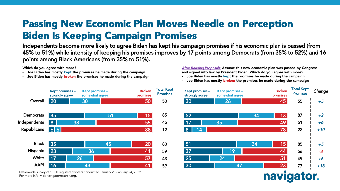## Passing New Economic Plan Moves Needle on Perception Biden Is Keeping Campaign Promises

Independents become more likely to agree Biden has kept his campaign promises if his economic plan is passed (from 45% to 51%) while intensity of keeping his promises improves by 17 points among Democrats (from 35% to 52%) and 16 points among Black Americans (from 35% to 51%).

Which do you agree with more?

- Joe Biden has mostly kept the promises he made during the campaign
- Joe Biden has mostly broken the promises he made during the campaign

*After Reading Proposals:* Assume this new economic plan was passed by Congress and signed into law by President Biden. Which do you agree with more?

- Joe Biden has mostly kept the promises he made during the campaign

- Joe Biden has mostly broken the promises he made during the campaign

![](_page_8_Figure_8.jpeg)

Nationwide survey of 1,000 registered voters conducted January 20-January 24, 2022.<br>-For more info, visit navigatorresarch.org.

![](_page_8_Figure_10.jpeg)